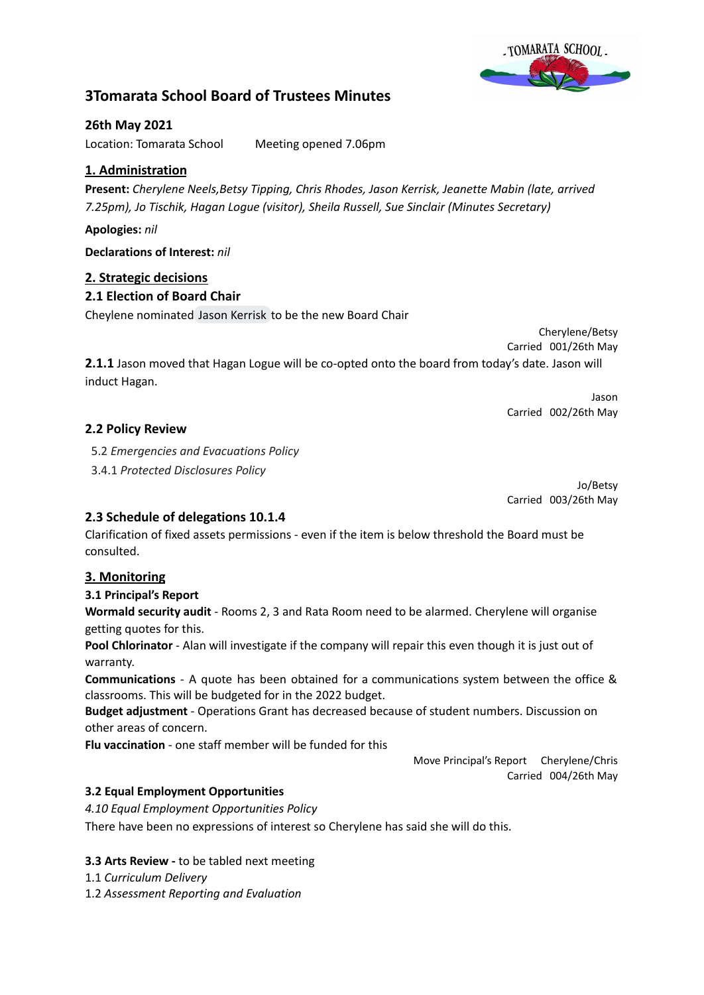

# **3Tomarata School Board of Trustees Minutes**

# **26th May 2021**

Location: Tomarata School Meeting opened 7.06pm

# **1. Administration**

**Present:** *Cherylene Neels,Betsy Tipping, Chris Rhodes, Jason Kerrisk, Jeanette Mabin (late, arrived 7.25pm), Jo Tischik, Hagan Logue (visitor), Sheila Russell, Sue Sinclair (Minutes Secretary)*

## **Apologies:** *nil*

**Declarations of Interest:** *nil*

# **2. Strategic decisions**

# **2.1 Election of Board Chair**

Cheylene nominated Jason [Kerrisk](mailto:jasonkerrisk.trustee@tomarata.school.nz) to be the new Board Chair

Cherylene/Betsy Carried 001/26th May

**2.1.1** Jason moved that Hagan Logue will be co-opted onto the board from today's date. Jason will induct Hagan.

> Jason Carried 002/26th May

# **2.2 Policy Review**

5.2 *Emergencies and Evacuations Policy*

3.4.1 *Protected Disclosures Policy*

Jo/Betsy Carried 003/26th May

# **2.3 Schedule of delegations 10.1.4**

Clarification of fixed assets permissions - even if the item is below threshold the Board must be consulted.

# **3. Monitoring**

## **3.1 Principal's Report**

**Wormald security audit** - Rooms 2, 3 and Rata Room need to be alarmed. Cherylene will organise getting quotes for this.

**Pool Chlorinator** - Alan will investigate if the company will repair this even though it is just out of warranty.

**Communications** - A quote has been obtained for a communications system between the office & classrooms. This will be budgeted for in the 2022 budget.

**Budget adjustment** - Operations Grant has decreased because of student numbers. Discussion on other areas of concern.

**Flu vaccination** - one staff member will be funded for this

Move Principal's Report Cherylene/Chris Carried 004/26th May

# **3.2 Equal Employment Opportunities**

*4.10 Equal Employment Opportunities Policy*

There have been no expressions of interest so Cherylene has said she will do this.

## **3.3 Arts Review -** to be tabled next meeting

1.1 *Curriculum Delivery*

1.2 *Assessment Reporting and Evaluation*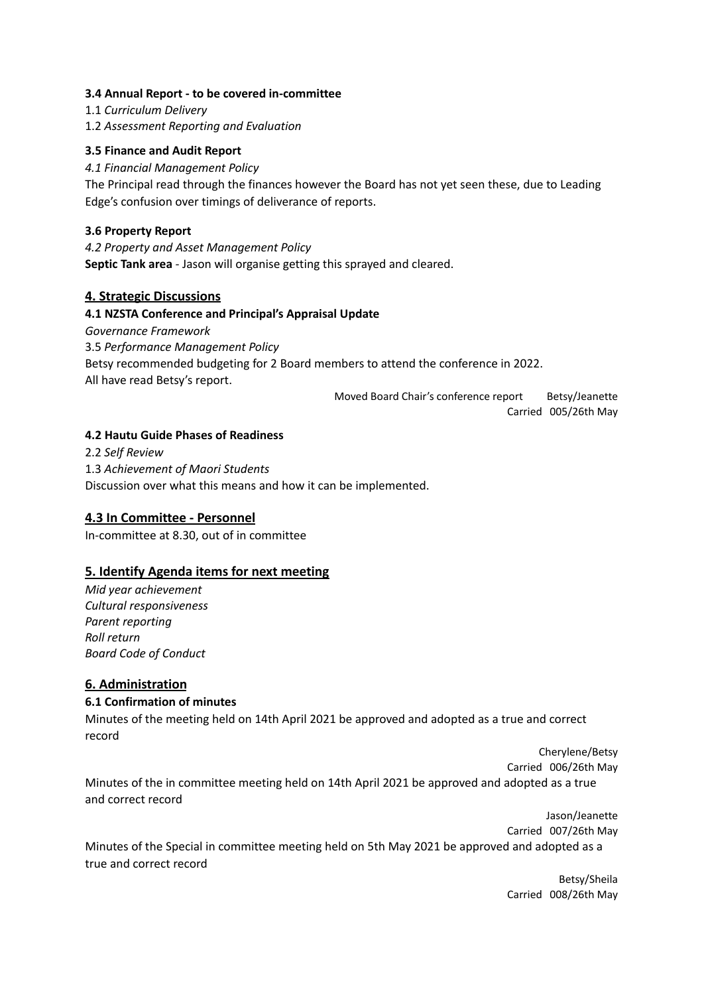### **3.4 Annual Report - to be covered in-committee**

1.1 *Curriculum Delivery*

1.2 *Assessment Reporting and Evaluation*

### **3.5 Finance and Audit Report**

*4.1 Financial Management Policy*

The Principal read through the finances however the Board has not yet seen these, due to Leading Edge's confusion over timings of deliverance of reports.

### **3.6 Property Report**

*4.2 Property and Asset Management Policy* **Septic Tank area** - Jason will organise getting this sprayed and cleared.

### **4. Strategic Discussions**

### **4.1 NZSTA Conference and Principal's Appraisal Update**

*Governance Framework*

3.5 *Performance Management Policy* Betsy recommended budgeting for 2 Board members to attend the conference in 2022. All have read Betsy's report.

> Moved Board Chair's conference report Betsy/Jeanette Carried 005/26th May

#### **4.2 Hautu Guide Phases of Readiness**

2.2 *Self Review* 1.3 *Achievement of Maori Students* Discussion over what this means and how it can be implemented.

## **4.3 In Committee - Personnel**

In-committee at 8.30, out of in committee

#### **5. Identify Agenda items for next meeting**

*Mid year achievement Cultural responsiveness Parent reporting Roll return Board Code of Conduct*

## **6. Administration**

#### **6.1 Confirmation of minutes**

Minutes of the meeting held on 14th April 2021 be approved and adopted as a true and correct record

> Cherylene/Betsy Carried 006/26th May

Minutes of the in committee meeting held on 14th April 2021 be approved and adopted as a true and correct record

Jason/Jeanette Carried 007/26th May Minutes of the Special in committee meeting held on 5th May 2021 be approved and adopted as a true and correct record

> Betsy/Sheila Carried 008/26th May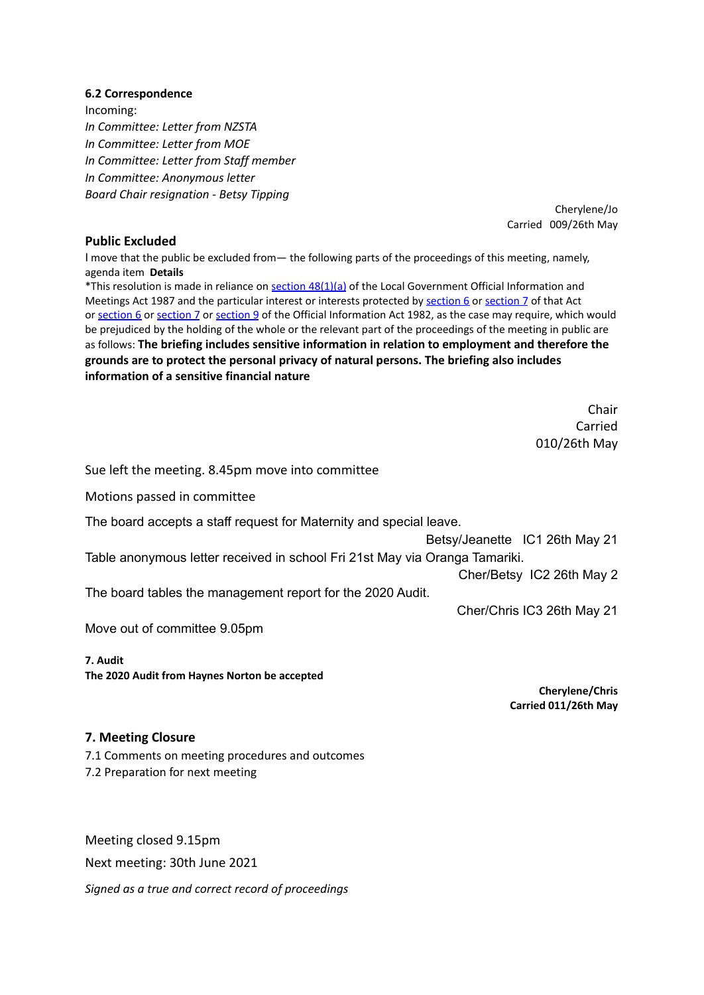#### **6.2 Correspondence**

Incoming: *In Committee: Letter from NZSTA In Committee: Letter from MOE In Committee: Letter from Staff member In Committee: Anonymous letter Board Chair resignation - Betsy Tipping*

> Cherylene/Jo Carried 009/26th May

### **Public Excluded**

I move that the public be excluded from— the following parts of the proceedings of this meeting, namely, agenda item **Details**

\*This resolution is made in reliance on section [48\(1\)\(a\)](http://www.legislation.govt.nz/act/public/1987/0174/latest/link.aspx?id=DLM123095#DLM123095) of the Local Government Official Information and Meetings Act 1987 and the particular interest or interests protected by [section](http://www.legislation.govt.nz/act/public/1987/0174/latest/link.aspx?id=DLM122287#DLM122287) 6 or section 7 of that Act or [section](http://www.legislation.govt.nz/act/public/1987/0174/latest/link.aspx?id=DLM65371#DLM65371) 6 or section 7 or section 9 of the Official Information Act 1982, as the case may require, which would be prejudiced by the holding of the whole or the relevant part of the proceedings of the meeting in public are as follows: **The briefing includes sensitive information in relation to employment and therefore the grounds are to protect the personal privacy of natural persons. The briefing also includes information of a sensitive financial nature**

> Chair Carried 010/26th May

Sue left the meeting. 8.45pm move into committee

Motions passed in committee

The board accepts a staff request for Maternity and special leave.

Betsy/Jeanette IC1 26th May 21

Table anonymous letter received in school Fri 21st May via Oranga Tamariki.

Cher/Betsy IC2 26th May 2

The board tables the management report for the 2020 Audit.

Cher/Chris IC3 26th May 21

Move out of committee 9.05pm

#### **7. Audit**

**The 2020 Audit from Haynes Norton be accepted**

**Cherylene/Chris Carried 011/26th May**

#### **7. Meeting Closure**

7.1 Comments on meeting procedures and outcomes 7.2 Preparation for next meeting

Meeting closed 9.15pm Next meeting: 30th June 2021 *Signed as a true and correct record of proceedings*